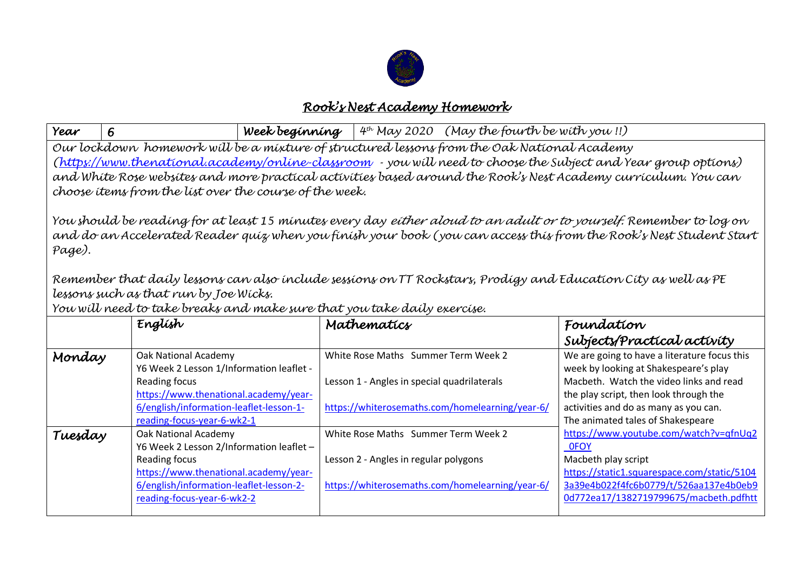

## *Rook's Nest Academy Homework*

| Year                                                                                                                                                                                                                                                                                                                                                                                                                                                                                                 | 6                                                                     | Week beginning $4^{th}$ May 2020 (May the fourth be with you!!) |                                             |                                                 |                     |                                                                                  |  |  |
|------------------------------------------------------------------------------------------------------------------------------------------------------------------------------------------------------------------------------------------------------------------------------------------------------------------------------------------------------------------------------------------------------------------------------------------------------------------------------------------------------|-----------------------------------------------------------------------|-----------------------------------------------------------------|---------------------------------------------|-------------------------------------------------|---------------------|----------------------------------------------------------------------------------|--|--|
| Our lockdown homework will be a mixture of structured lessons from the Oak National Academy                                                                                                                                                                                                                                                                                                                                                                                                          |                                                                       |                                                                 |                                             |                                                 |                     |                                                                                  |  |  |
| (https://www.thenational.academy/online-classroom - you will need to choose the Subject and Year group options)                                                                                                                                                                                                                                                                                                                                                                                      |                                                                       |                                                                 |                                             |                                                 |                     |                                                                                  |  |  |
| and White Rose websites and more practical activities based around the Rook's Nest Academy curriculum. You can                                                                                                                                                                                                                                                                                                                                                                                       |                                                                       |                                                                 |                                             |                                                 |                     |                                                                                  |  |  |
| choose items from the list over the course of the week.                                                                                                                                                                                                                                                                                                                                                                                                                                              |                                                                       |                                                                 |                                             |                                                 |                     |                                                                                  |  |  |
| You should be reading for at least 15 minutes every day <i>either aloud to an adult or to yourself.</i> Remember to log on<br>and do an Accelerated Reader quiz when you finish your book (you can access this from the Rook's Nest Student Start<br>Page).<br>Remember that daily lessons can also include sessions on TT Rockstars, Prodigy and Education City as well as PE<br>lessons such as that run by Joe Wicks.<br>You will need to take breaks and make sure that you take daily exercise. |                                                                       |                                                                 |                                             |                                                 |                     |                                                                                  |  |  |
|                                                                                                                                                                                                                                                                                                                                                                                                                                                                                                      |                                                                       |                                                                 |                                             |                                                 |                     |                                                                                  |  |  |
|                                                                                                                                                                                                                                                                                                                                                                                                                                                                                                      | Englísh                                                               |                                                                 | Mathematics                                 |                                                 | Foundation          |                                                                                  |  |  |
|                                                                                                                                                                                                                                                                                                                                                                                                                                                                                                      |                                                                       |                                                                 |                                             |                                                 |                     | Subjects/Practical activity                                                      |  |  |
| Monday                                                                                                                                                                                                                                                                                                                                                                                                                                                                                               | Oak National Academy                                                  |                                                                 | White Rose Maths Summer Term Week 2         |                                                 |                     | We are going to have a literature focus this                                     |  |  |
|                                                                                                                                                                                                                                                                                                                                                                                                                                                                                                      | Y6 Week 2 Lesson 1/Information leaflet -                              |                                                                 |                                             |                                                 |                     | week by looking at Shakespeare's play                                            |  |  |
|                                                                                                                                                                                                                                                                                                                                                                                                                                                                                                      | Reading focus                                                         |                                                                 | Lesson 1 - Angles in special quadrilaterals |                                                 |                     | Macbeth. Watch the video links and read                                          |  |  |
|                                                                                                                                                                                                                                                                                                                                                                                                                                                                                                      | https://www.thenational.academy/year-                                 |                                                                 |                                             |                                                 |                     | the play script, then look through the                                           |  |  |
|                                                                                                                                                                                                                                                                                                                                                                                                                                                                                                      | 6/english/information-leaflet-lesson-1-                               |                                                                 |                                             | https://whiterosemaths.com/homelearning/year-6/ |                     | activities and do as many as you can.                                            |  |  |
|                                                                                                                                                                                                                                                                                                                                                                                                                                                                                                      | reading-focus-year-6-wk2-1<br>Oak National Academy                    |                                                                 | White Rose Maths Summer Term Week 2         |                                                 |                     | The animated tales of Shakespeare<br>https://www.youtube.com/watch?v=qfnUq2      |  |  |
| Tuesday                                                                                                                                                                                                                                                                                                                                                                                                                                                                                              | Y6 Week 2 Lesson 2/Information leaflet -                              |                                                                 |                                             |                                                 | <b>OFOY</b>         |                                                                                  |  |  |
|                                                                                                                                                                                                                                                                                                                                                                                                                                                                                                      | Reading focus                                                         |                                                                 | Lesson 2 - Angles in regular polygons       |                                                 | Macbeth play script |                                                                                  |  |  |
|                                                                                                                                                                                                                                                                                                                                                                                                                                                                                                      | https://www.thenational.academy/year-                                 |                                                                 |                                             |                                                 |                     | https://static1.squarespace.com/static/5104                                      |  |  |
|                                                                                                                                                                                                                                                                                                                                                                                                                                                                                                      | 6/english/information-leaflet-lesson-2-<br>reading-focus-year-6-wk2-2 |                                                                 |                                             | https://whiterosemaths.com/homelearning/year-6/ |                     | 3a39e4b022f4fc6b0779/t/526aa137e4b0eb9<br>0d772ea17/1382719799675/macbeth.pdfhtt |  |  |